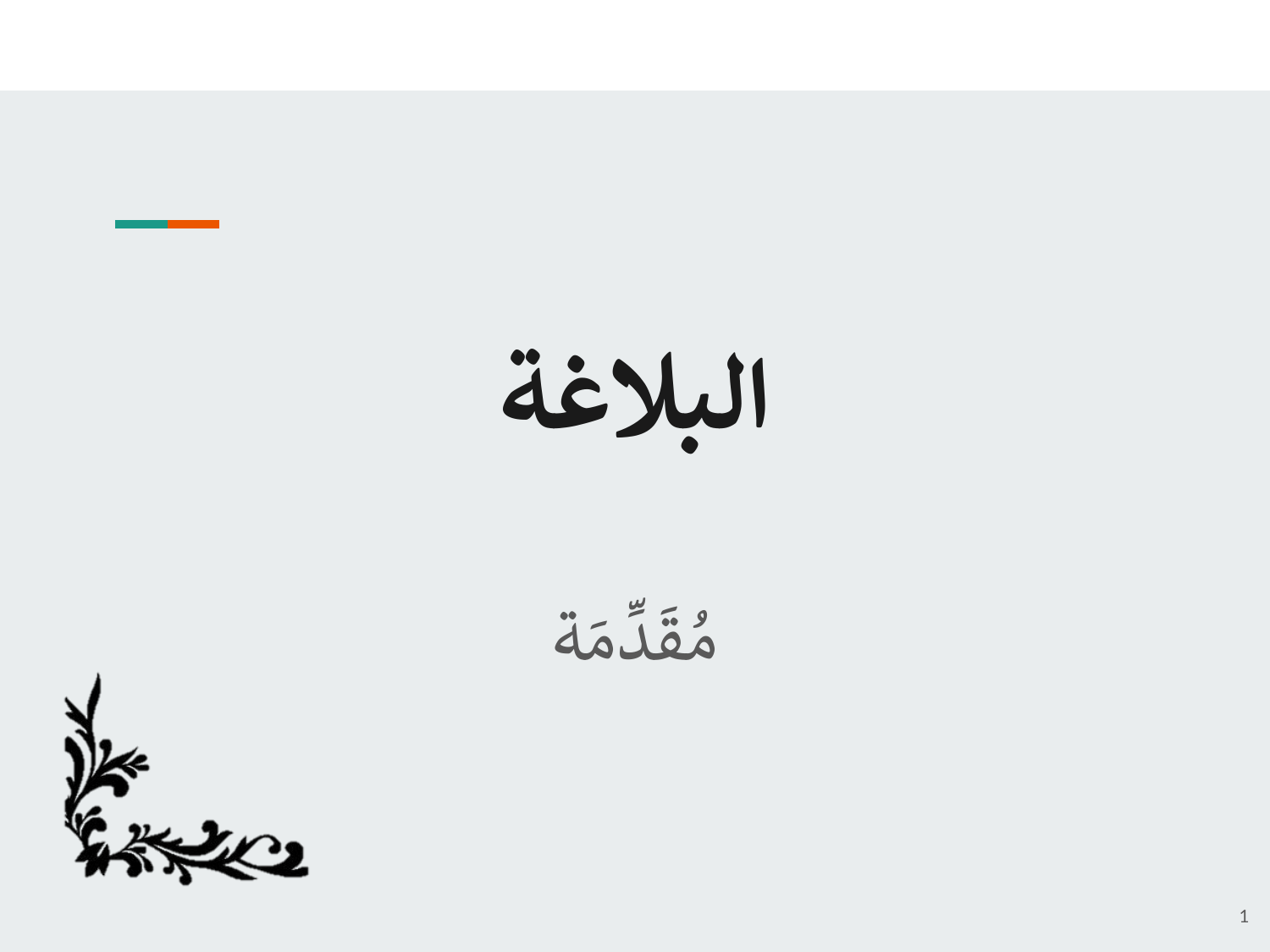

$$
\ddot{\tilde{\omega}}
$$

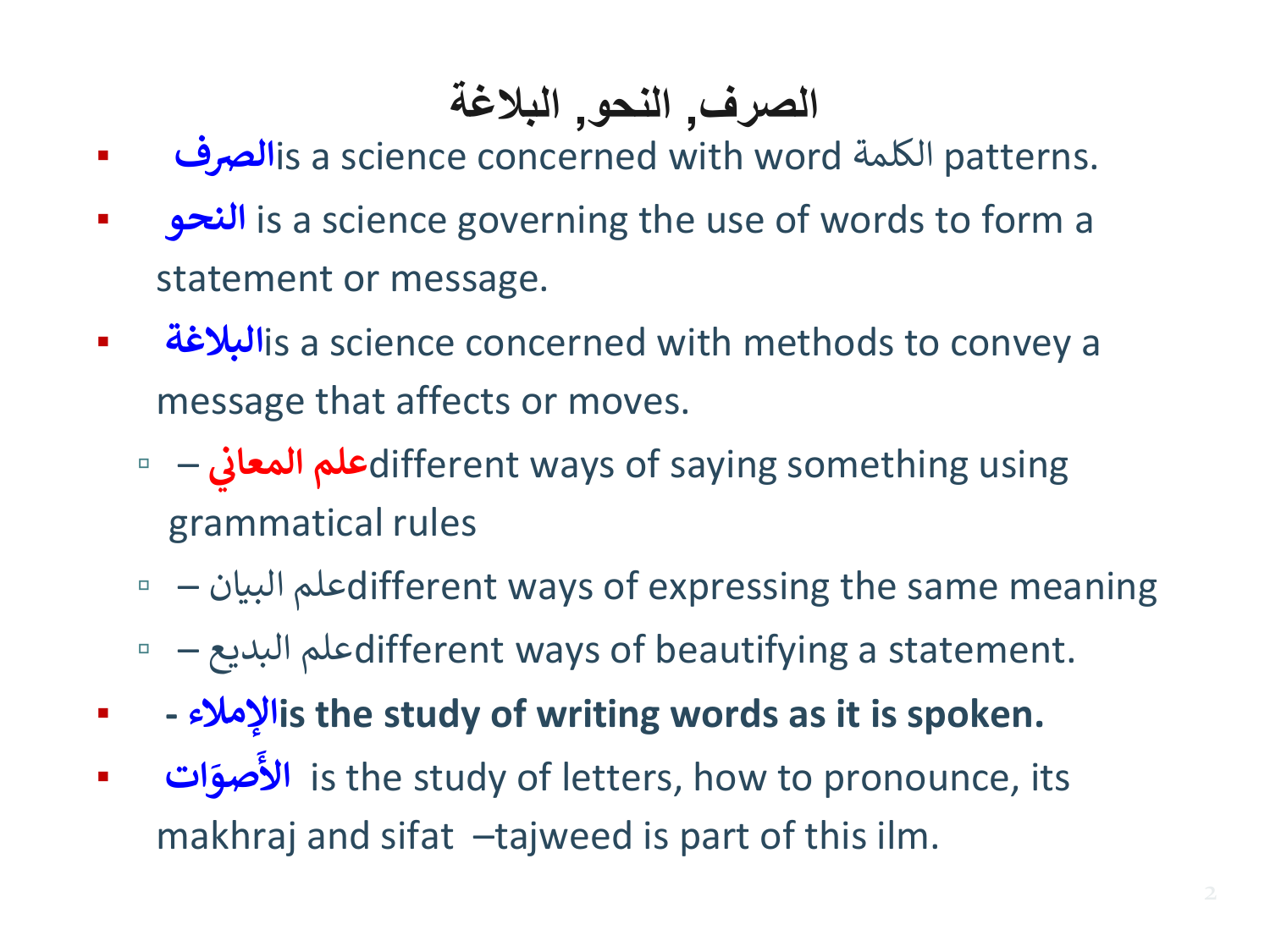### **الصرف, النحو, البالغة**

- **الرصف**is a science concerned with word الكلمة patterns.
- **النحو** is a science governing the use of words to form a statement or message.
- **البالغة**is a science concerned with methods to convey a message that affects or moves.
	- – **المعان علم**different ways of saying something using **ي**  grammatical rules
	- – البيان علمdifferent ways of expressing the same meaning
	- – البديع علمdifferent ways of beautifying a statement.
- **- اإلمالءis the study of writing words as it is spoken.**
- **ات َ صو َ األ** is the study of letters, how to pronounce, its makhraj and sifat –tajweed is part of this ilm.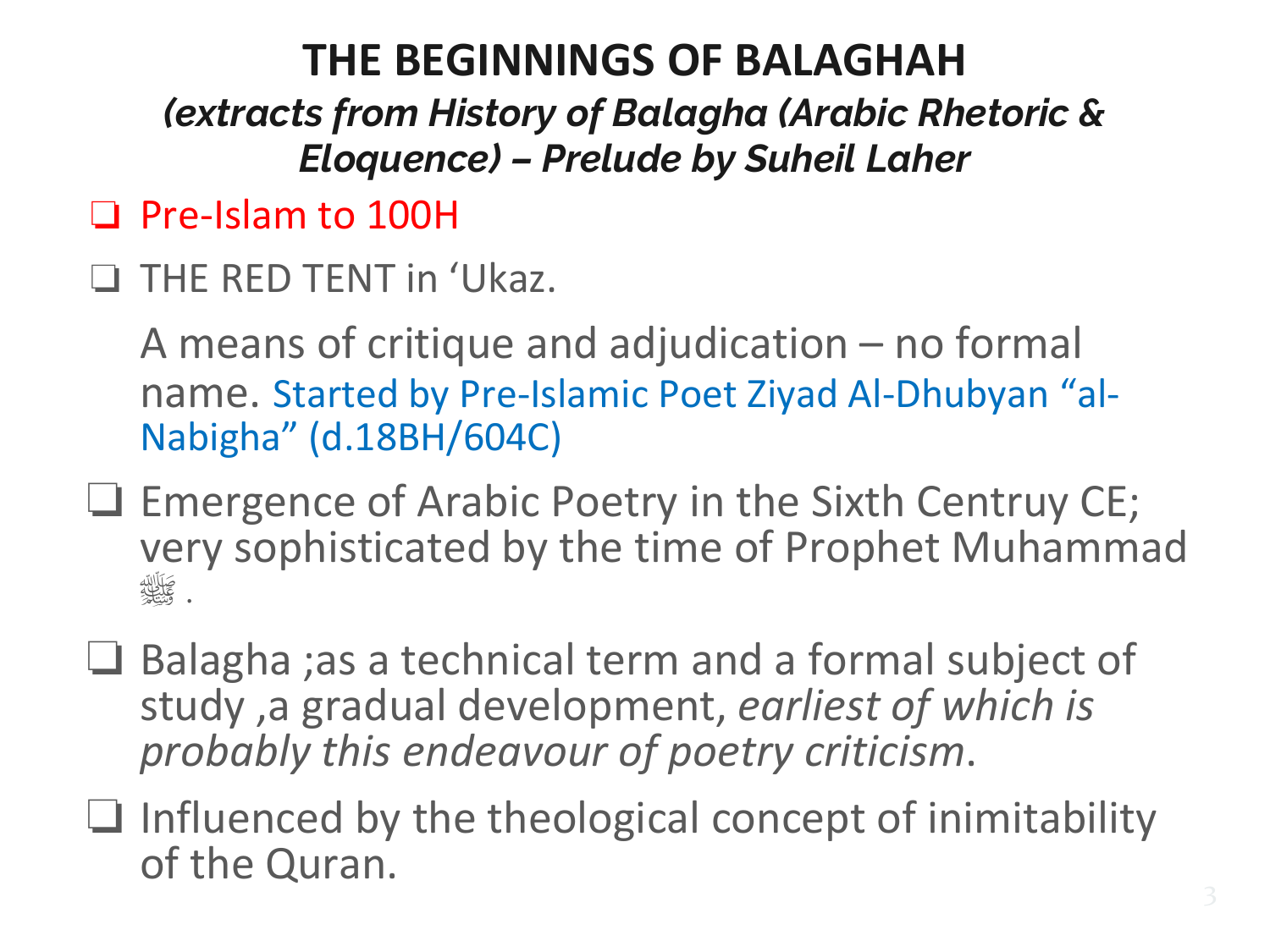### **THE BEGINNINGS OF BALAGHAH**

*(extracts from History of Balagha (Arabic Rhetoric & Eloquence) – Prelude by Suheil Laher*

- ❏ Pre-Islam to 100H
- ❏ THE RED TENT in 'Ukaz.

A means of critique and adjudication – no formal name. Started by Pre-Islamic Poet Ziyad Al-Dhubyan "al-Nabigha" (d.18BH/604C)

- ❏ Emergence of Arabic Poetry in the Sixth Centruy CE; very sophisticated by the time of Prophet Muhammad . صَلَالِلَّهِ
- ❏ Balagha ;as a technical term and a formal subject of study ,a gradual development, *earliest of which is probably this endeavour of poetry criticism*.
- ❏ Influenced by the theological concept of inimitability of the Quran.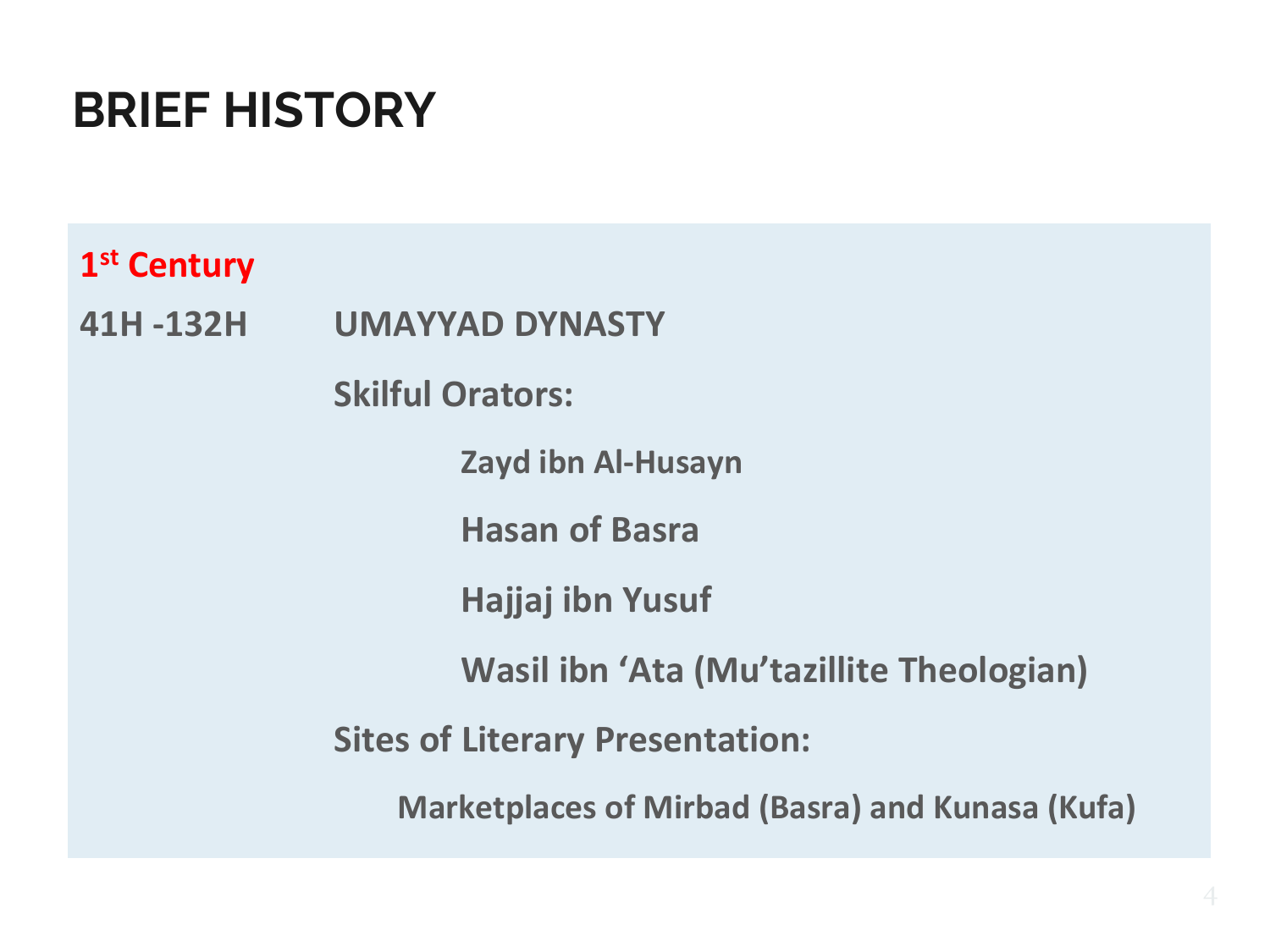### **BRIEF HISTORY**

**1 st Century** 

**41H -132H UMAYYAD DYNASTY**

**Skilful Orators:**

**Zayd ibn Al-Husayn**

**Hasan of Basra**

**Hajjaj ibn Yusuf**

**Wasil ibn 'Ata (Mu'tazillite Theologian)**

**Sites of Literary Presentation:**

**Marketplaces of Mirbad (Basra) and Kunasa (Kufa)**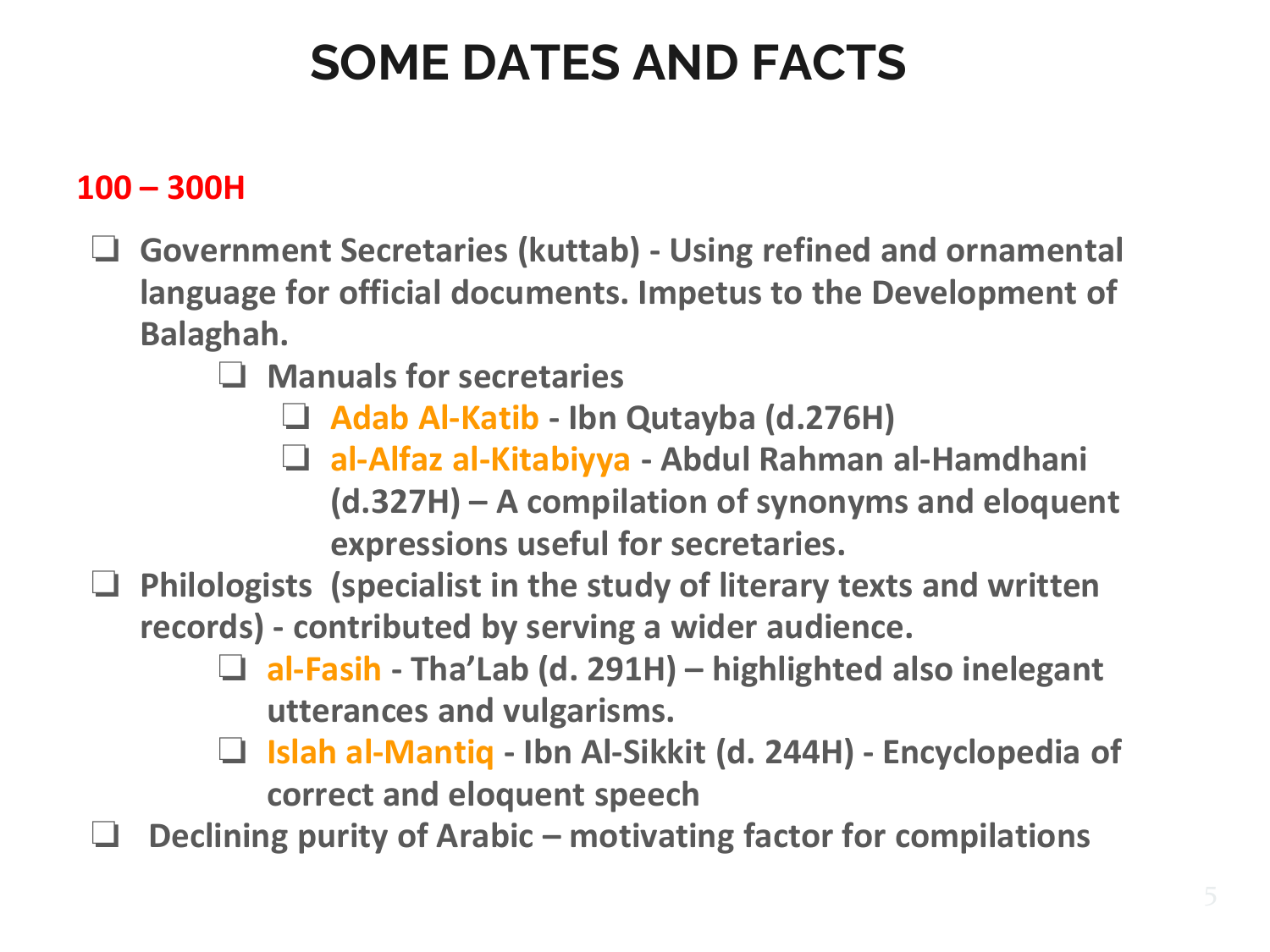# **SOME DATES AND FACTS**

### **100 – 300H**

- ❏ **Government Secretaries (kuttab) - Using refined and ornamental language for official documents. Impetus to the Development of Balaghah.**
	- ❏ **Manuals for secretaries**
		- ❏ **Adab Al-Katib - Ibn Qutayba (d.276H)**
		- ❏ **al-Alfaz al-Kitabiyya - Abdul Rahman al-Hamdhani (d.327H) – A compilation of synonyms and eloquent expressions useful for secretaries.**
- ❏ **Philologists (specialist in the study of literary texts and written records) - contributed by serving a wider audience.** 
	- ❏ **al-Fasih - Tha'Lab (d. 291H) – highlighted also inelegant utterances and vulgarisms.**
	- ❏ **Islah al-Mantiq - Ibn Al-Sikkit (d. 244H) - Encyclopedia of correct and eloquent speech**
- ❏ **Declining purity of Arabic – motivating factor for compilations**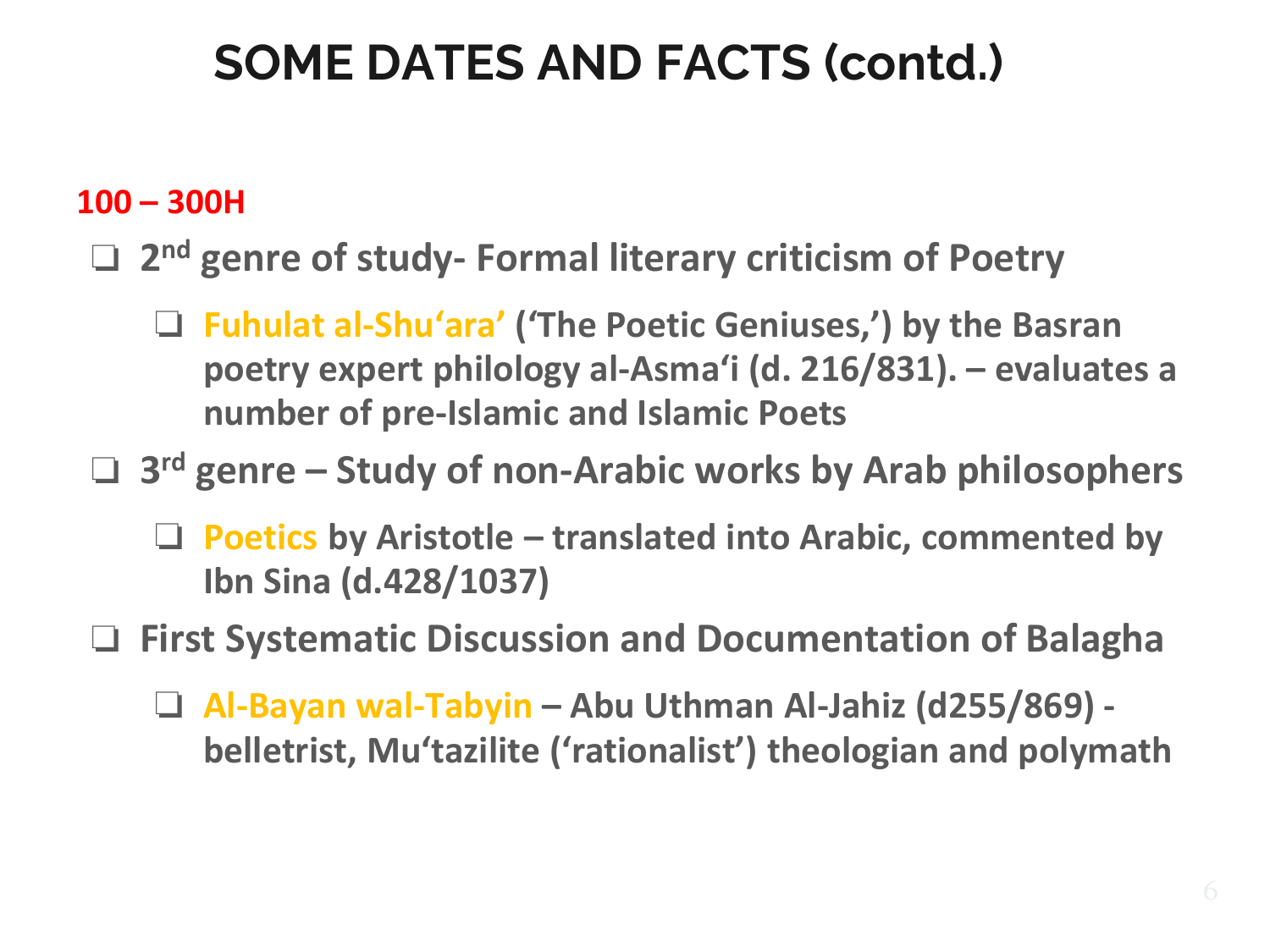### **100 – 300H**

### □ 2<sup>nd</sup> genre of study- Formal literary criticism of Poetry

❏ **Fuhulat al-Shuʻara' ('The Poetic Geniuses,') by the Basran poetry expert philology al-Asmaʻi (d. 216/831). – evaluates a number of pre-Islamic and Islamic Poets**

❏ **3 rd genre – Study of non-Arabic works by Arab philosophers**

❏ **Poetics by Aristotle – translated into Arabic, commented by Ibn Sina (d.428/1037)**

❏ **First Systematic Discussion and Documentation of Balagha**

❏ **Al-Bayan wal-Tabyin – Abu Uthman Al-Jahiz (d255/869) belletrist, Muʻtazilite ('rationalist') theologian and polymath**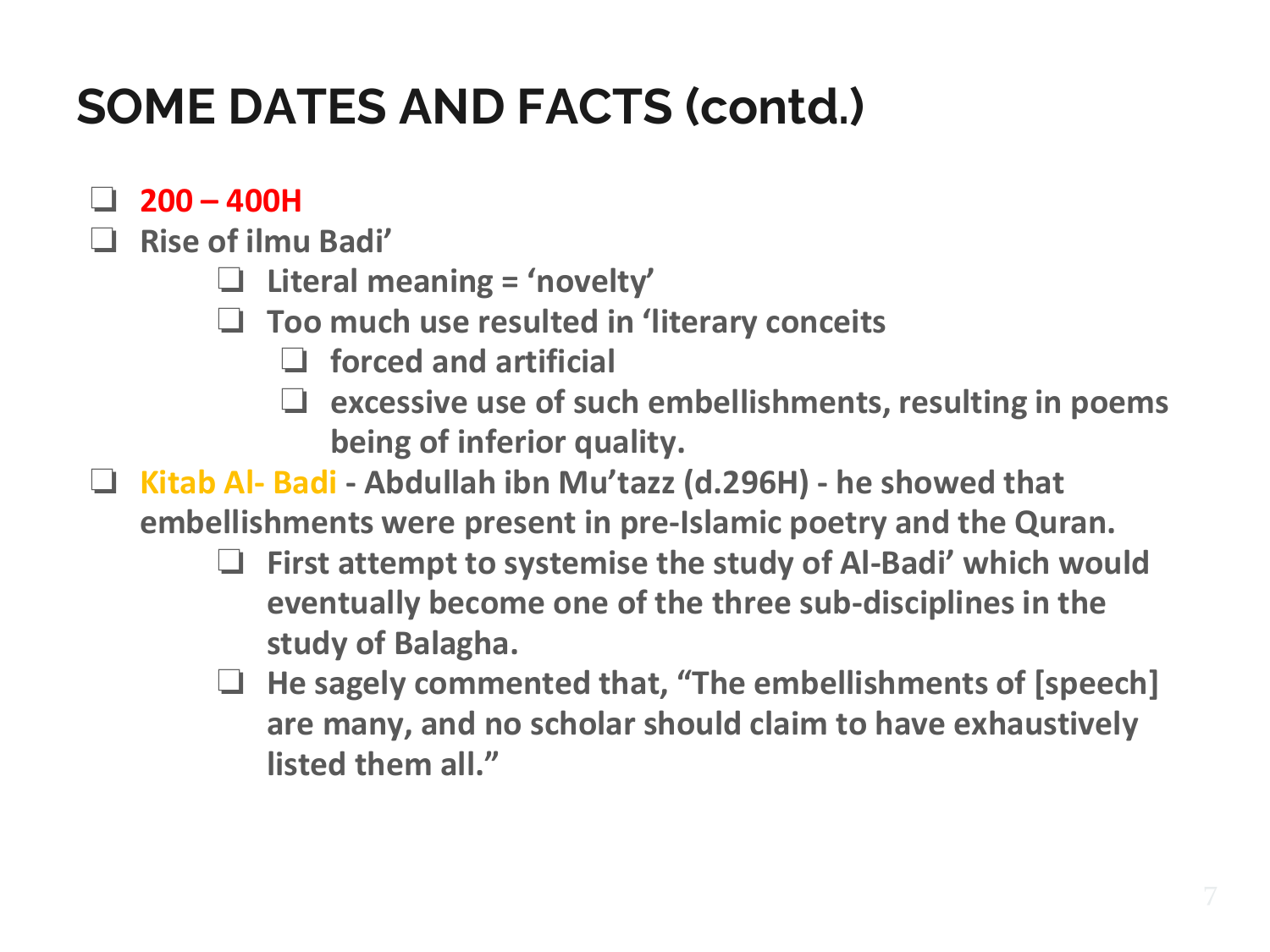- ❏ **200 – 400H**
- ❏ **Rise of ilmu Badi'**
	- ❏ **Literal meaning = 'novelty'**
	- ❏ **Too much use resulted in 'literary conceits**
		- ❏ **forced and artificial**
		- ❏ **excessive use of such embellishments, resulting in poems being of inferior quality.**
- ❏ **Kitab Al- Badi - Abdullah ibn Mu'tazz (d.296H) - he showed that embellishments were present in pre-Islamic poetry and the Quran.**
	- ❏ **First attempt to systemise the study of Al-Badi' which would eventually become one of the three sub-disciplines in the study of Balagha.**
	- ❏ **He sagely commented that, "The embellishments of [speech] are many, and no scholar should claim to have exhaustively listed them all."**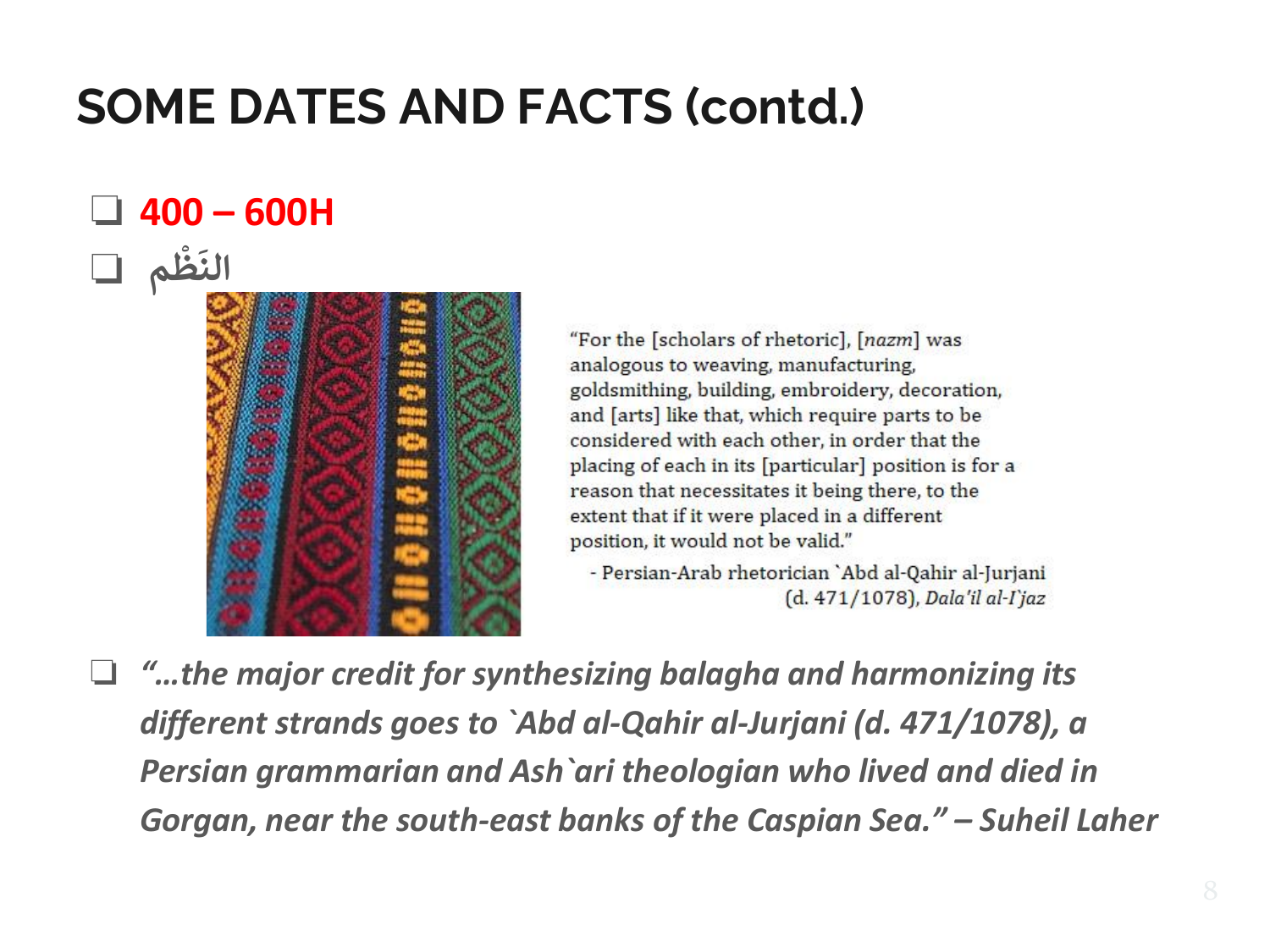#### ❏ **400 – 600H ْ َ**



"For the [scholars of rhetoric], [nazm] was analogous to weaving, manufacturing, goldsmithing, building, embroidery, decoration, and [arts] like that, which require parts to be considered with each other, in order that the placing of each in its [particular] position is for a reason that necessitates it being there, to the extent that if it were placed in a different position, it would not be valid."

- Persian-Arab rhetorician 'Abd al-Qahir al-Jurjani  $(d. 471/1078)$ , Dala'il al-I'jaz

❏ *"…the major credit for synthesizing balagha and harmonizing its different strands goes to `Abd al-Qahir al-Jurjani (d. 471/1078), a Persian grammarian and Ash`ari theologian who lived and died in Gorgan, near the south-east banks of the Caspian Sea." – Suheil Laher*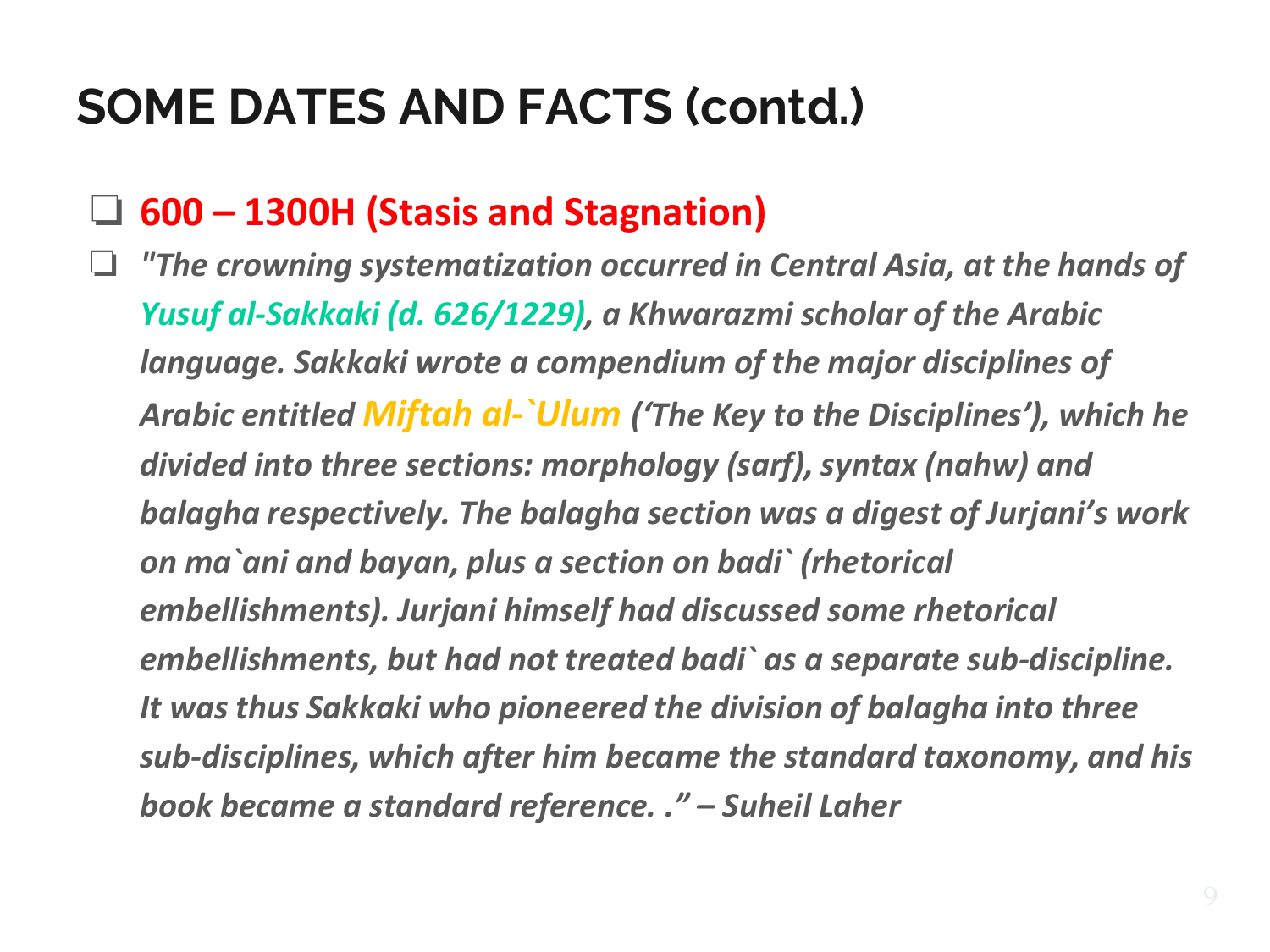### ❏ **600 – 1300H (Stasis and Stagnation)**

❏ *"The crowning systematization occurred in Central Asia, at the hands of Yusuf al-Sakkaki (d. 626/1229), a Khwarazmi scholar of the Arabic language. Sakkaki wrote a compendium of the major disciplines of Arabic entitled Miftah al-`Ulum ('The Key to the Disciplines'), which he divided into three sections: morphology (sarf), syntax (nahw) and balagha respectively. The balagha section was a digest of Jurjani's work on ma`ani and bayan, plus a section on badi` (rhetorical embellishments). Jurjani himself had discussed some rhetorical embellishments, but had not treated badi` as a separate sub-discipline. It was thus Sakkaki who pioneered the division of balagha into three sub-disciplines, which after him became the standard taxonomy, and his book became a standard reference. ." – Suheil Laher*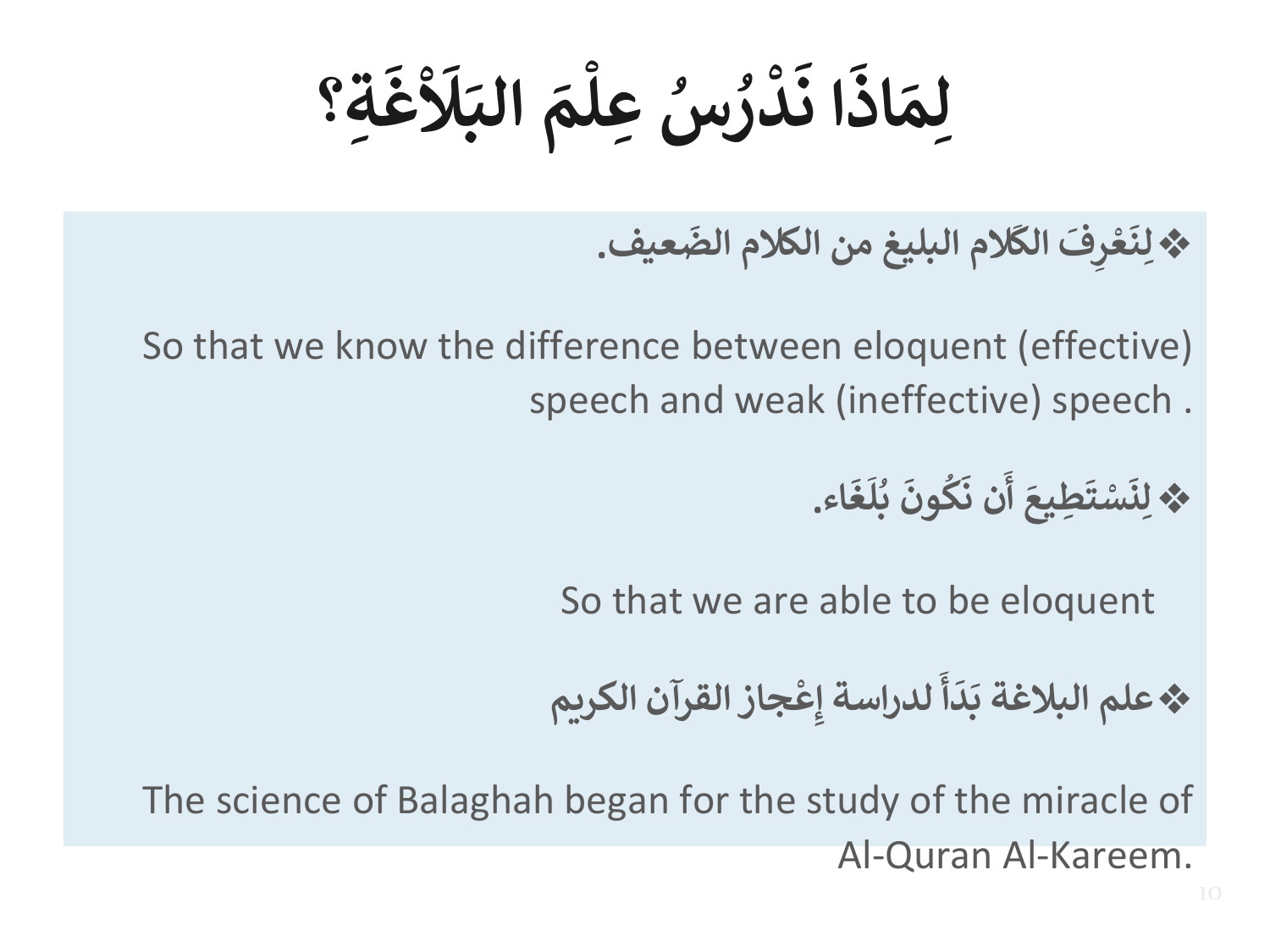**ْ َ ل َ الب َ م عل س ِ ْ ُ ُ ر د ْ َ ا ن َ اذ َ** ِلِمَاذَا نَدْرُسُ عِلْمَ البَلَاْغَةِ **َ غ ؟**

❖ **عيف َ الم البليغ من الكالم الض َ الك ِفَ ر ع ْ َ** لِنَعْرِفَ الكَلام البليغ من الكلام الضَعيف.

So that we know the difference between eloquent (effective) speech and weak (ineffective) speech .

> ❖ **اء َ غ َ ل ب ُ َ ون ك ُ َ ن ن َ أ َ ِطيع َ ت س ْ َ** لِنَسْتَطِيعَ أن نَكُونَ بُلُغَاء.

So that we are able to be eloquent

❖ **جاز القرآن الكريم ِع لدراسة إ ْ َ َ أ** .<br>.<br>د **َ علم البالغة ب**

The science of Balaghah began for the study of the miracle of Al-Quran Al-Kareem.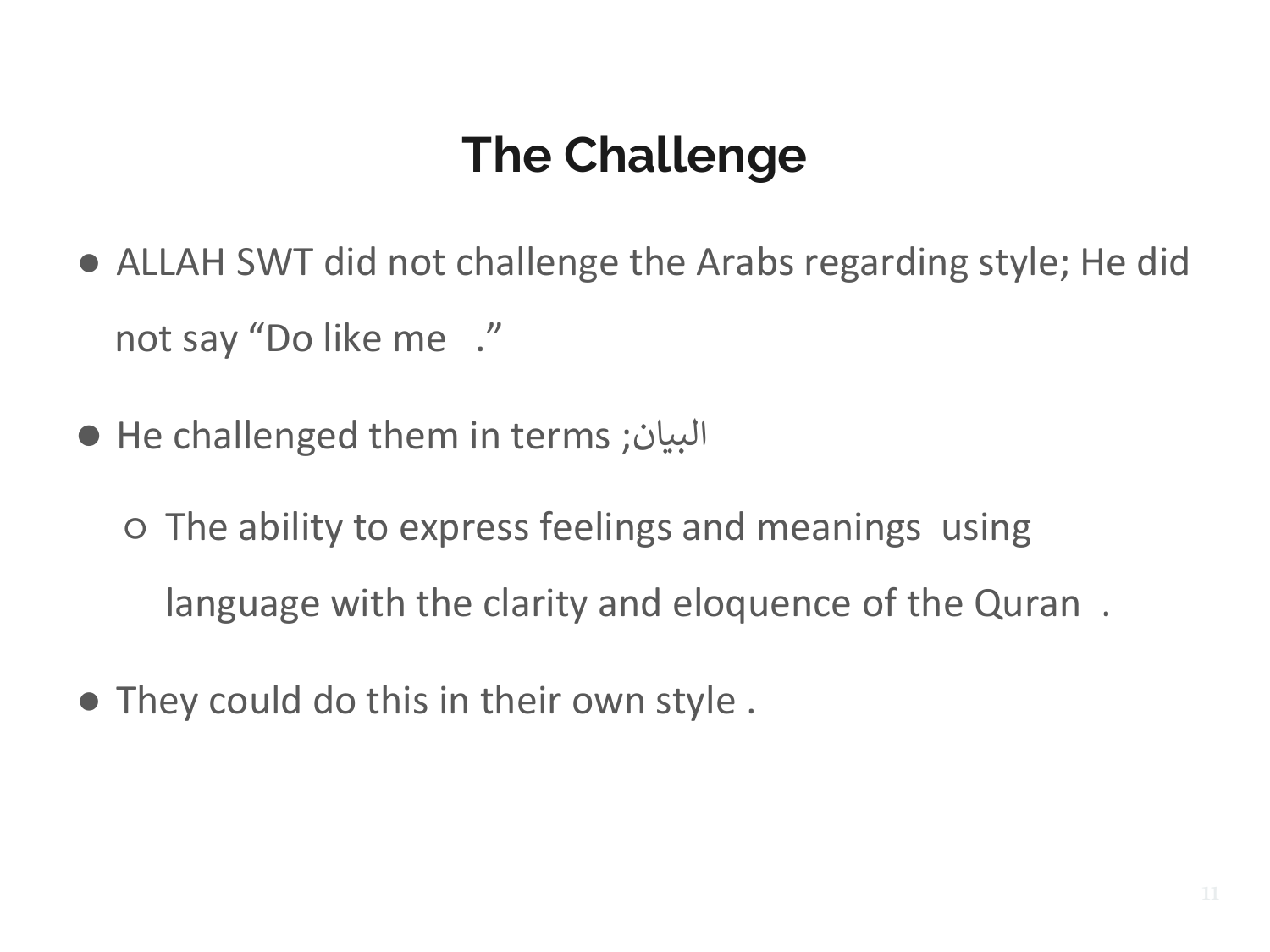### **The Challenge**

- ALLAH SWT did not challenge the Arabs regarding style; He did not say "Do like me ."
- He challenged them in terms ;البيان
	- The ability to express feelings and meanings using language with the clarity and eloquence of the Quran .
- They could do this in their own style .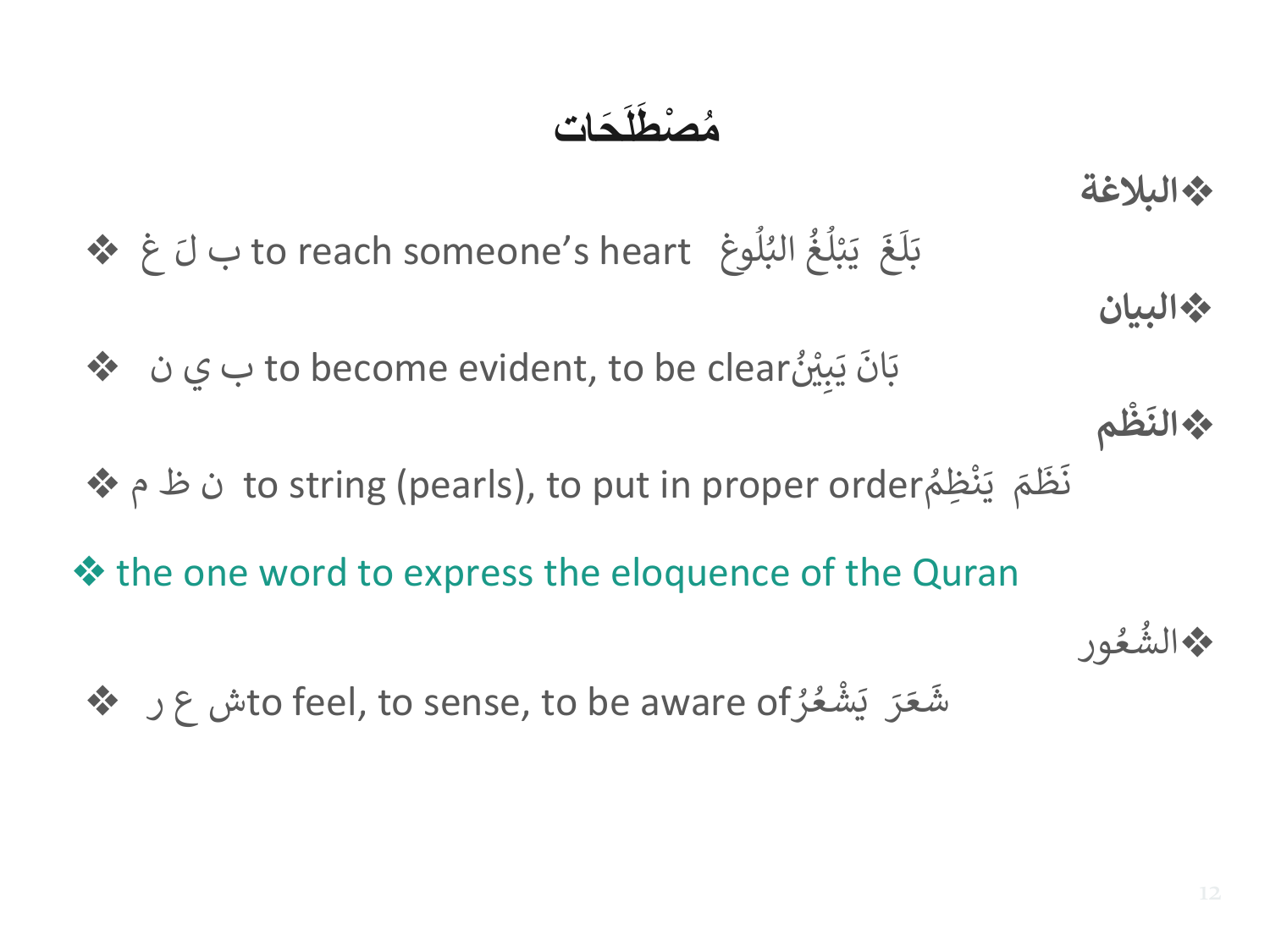#### **َحات ص َطلَ م ْ ُ**

❖**البالغة** غ ❖ **∶** بْلُغُ البُلُوغِ to reach someone's heart ب لَ ُ<br>ا )<br>ፈ ُ ُ<br>ا ់<br>រ  $\frac{1}{2}$ ي  $\overline{\mathbf{r}}$ غ َ ل  $\frac{1}{2}$ ب ❖**البيان** بِيْنُ to become evident, to be clear ب ي ن  $\clubsuit$  $^{\circ}$  $\frac{1}{2}$ ي  $\ddot{\phantom{0}}$ ان  $\frac{1}{2}$ ب ❖ **م ظ ْ َ الن** ❖ م ظ ن to string (pearls), to put in proper order ُ ِظم ن ْ  $\frac{1}{2}$ ي  $\tilde{\mathbf{r}}$ م  $\frac{1}{2}$ ظ  $\overline{a}$ ن

- ❖ the one word to express the eloquence of the Quran
	- ❖ ر ع شto feel, to sense, to be aware of ُ ر ع ش ່<br>ຂ ْ  $\overline{\mathbf{a}}$ ي رَ َ ع  $\frac{1}{2}$ ش

عور ُ ❖ الش ُ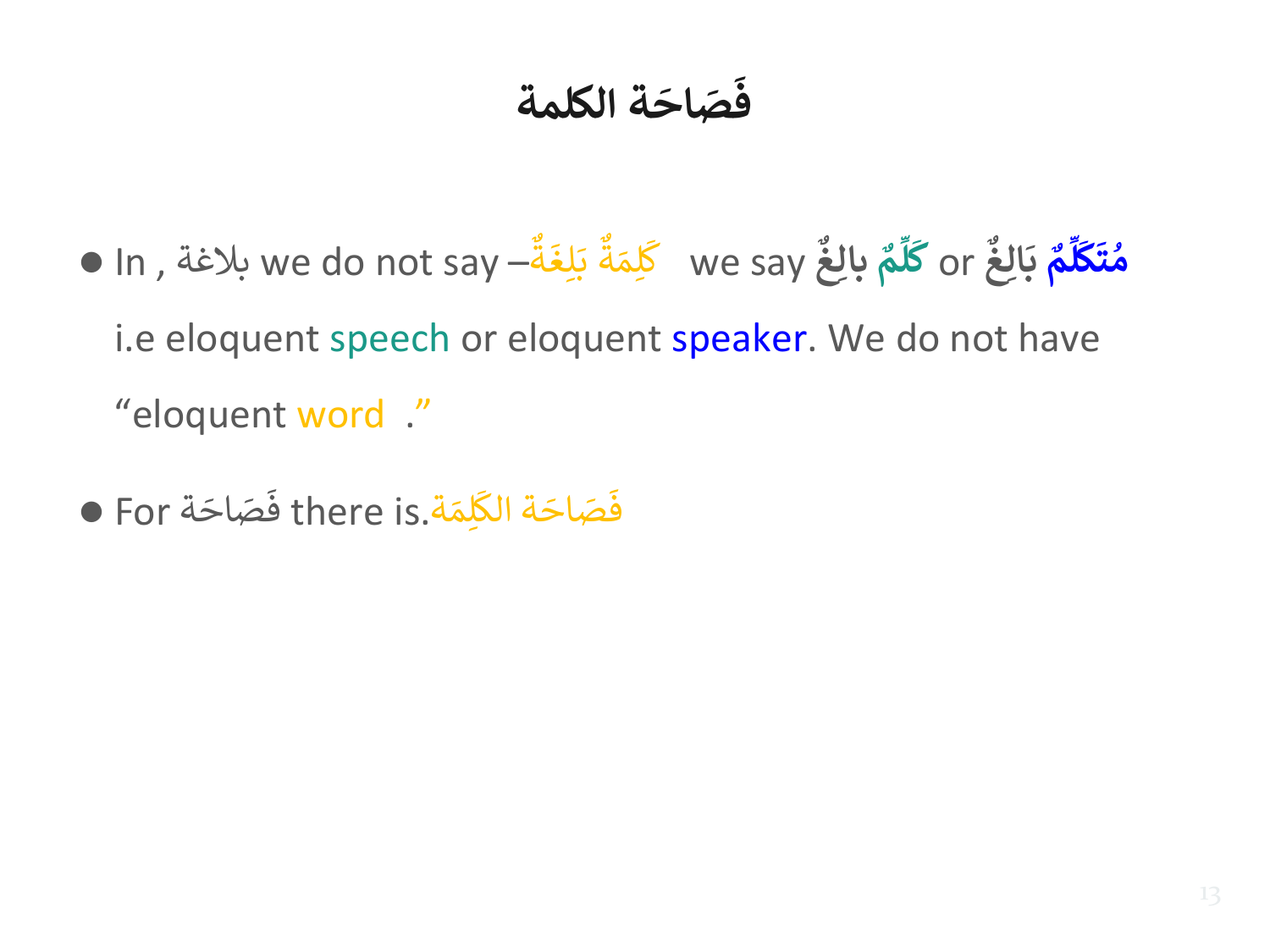#### **ة الكلمة َ اح صَ َ ف**

- In , بالغة we do not say و<br>∙• ة  $\ddot{\phantom{0}}$ ِغ ل  $\ddot{\phantom{0}}$ ب و<br>∙• ة  $\ddot{\tilde{}}$ لِمَة ِ<br>سا we say كُلِمَة بَلِغَة—  **م** ِ<br>مُأ **ل َ ك ِ غ** or **بال م ِّ ل َ ك َ مُتَكَلَّمُ** بَالِا **ُ َ ب غ** i.e eloquent speech or eloquent speaker. We do not have "eloquent word ."
- For ä َ فَصَاحَ ة there is.  $\ddot{\phantom{0}}$ <u>ِ أَلْ</u>مَ َ ة الك َ .<br>فَصَاحَ فَصَاحَة الكَلِمَة.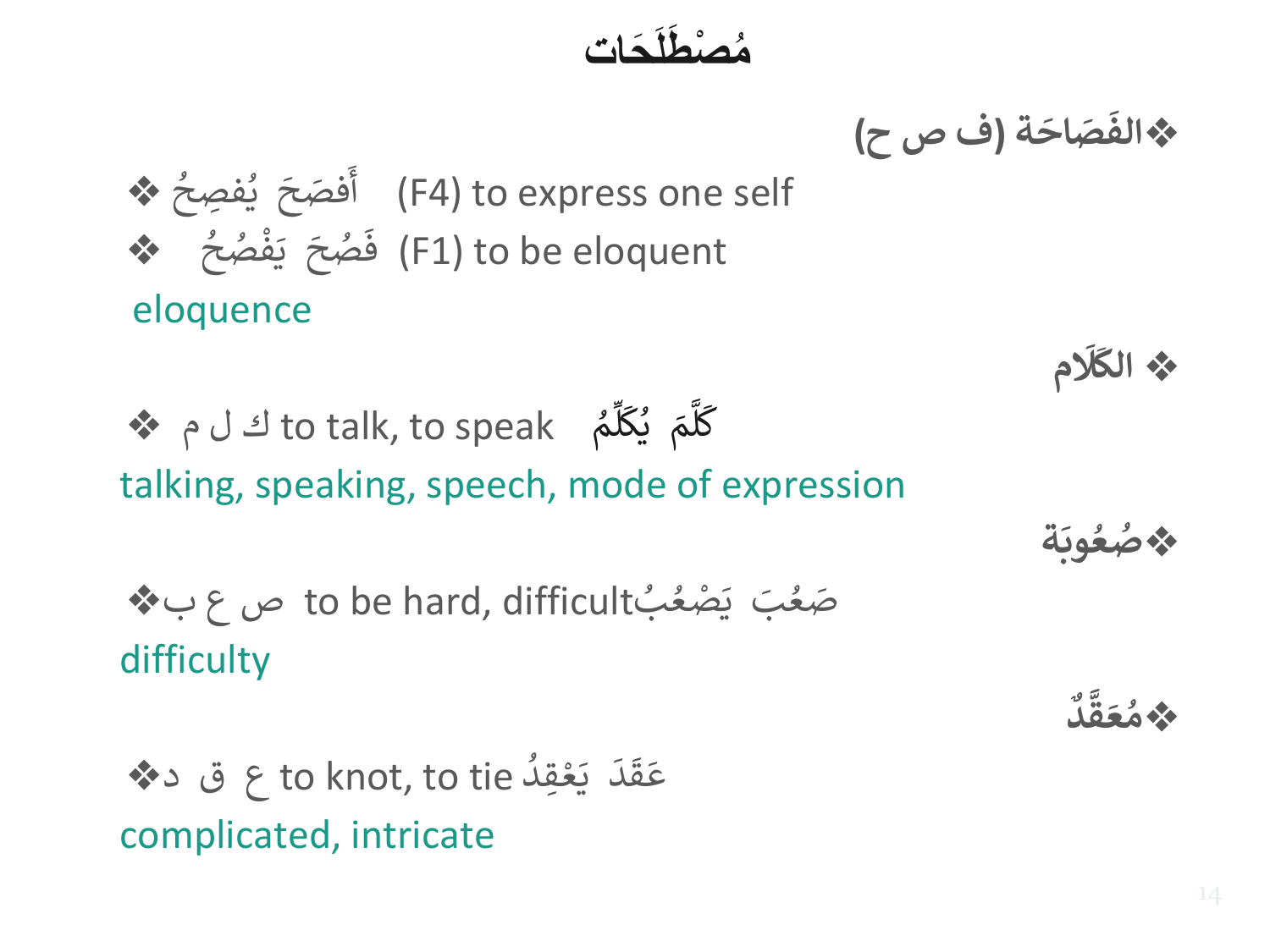#### **َحات ص َطلَ ْ م ُ**

❖ **ة َ اح صَ َ الف (ف ص ح)**

❖ ف ِصح ي ُ ُ ં<br>ક .<br>فصَحَ  $\frac{1}{2}$ أ) F4) to express one self ❖ ح ص ف ।<br>।<br>ज ہ<br>م ֦֧<u>֦</u> ا<br>أ ي  $\overline{\phantom{a}}$ حُبحَ ٍ<br>م  $\frac{1}{2}$ ف) F1) to be eloquent

eloquence

❖ م ل ك to talk, to speak ُ م ِ<br>تَمَا ل ِ<br>س ك ي ै<br>।  $\tilde{\mathbf{r}}$ م ِ<br>َٰعَا ل ِ<br>م ك talking, speaking, speech, mode of expression

بdifficult ,hard be to ص ع ب❖ ُ ُ صَغُبَ يَصْعُ difficulty

❖د ق ع to knot, to tie ُ ِقد ع ْ بِيَّةٍ مِنْ يَسْتَدِينَ بِيَانِيَةٍ مِنْ يَسْتَدِينَ بِيَانِيَةٍ مِنْ يَسْتَدِينَ بِيَانِيَةٍ م  $\frac{1}{2}$ ي  $\frac{1}{1}$ د<br>د  $\frac{1}{2}$ ق  $\ddot{\phantom{0}}$ ع complicated, intricate

❖ **م َ َل َ الك**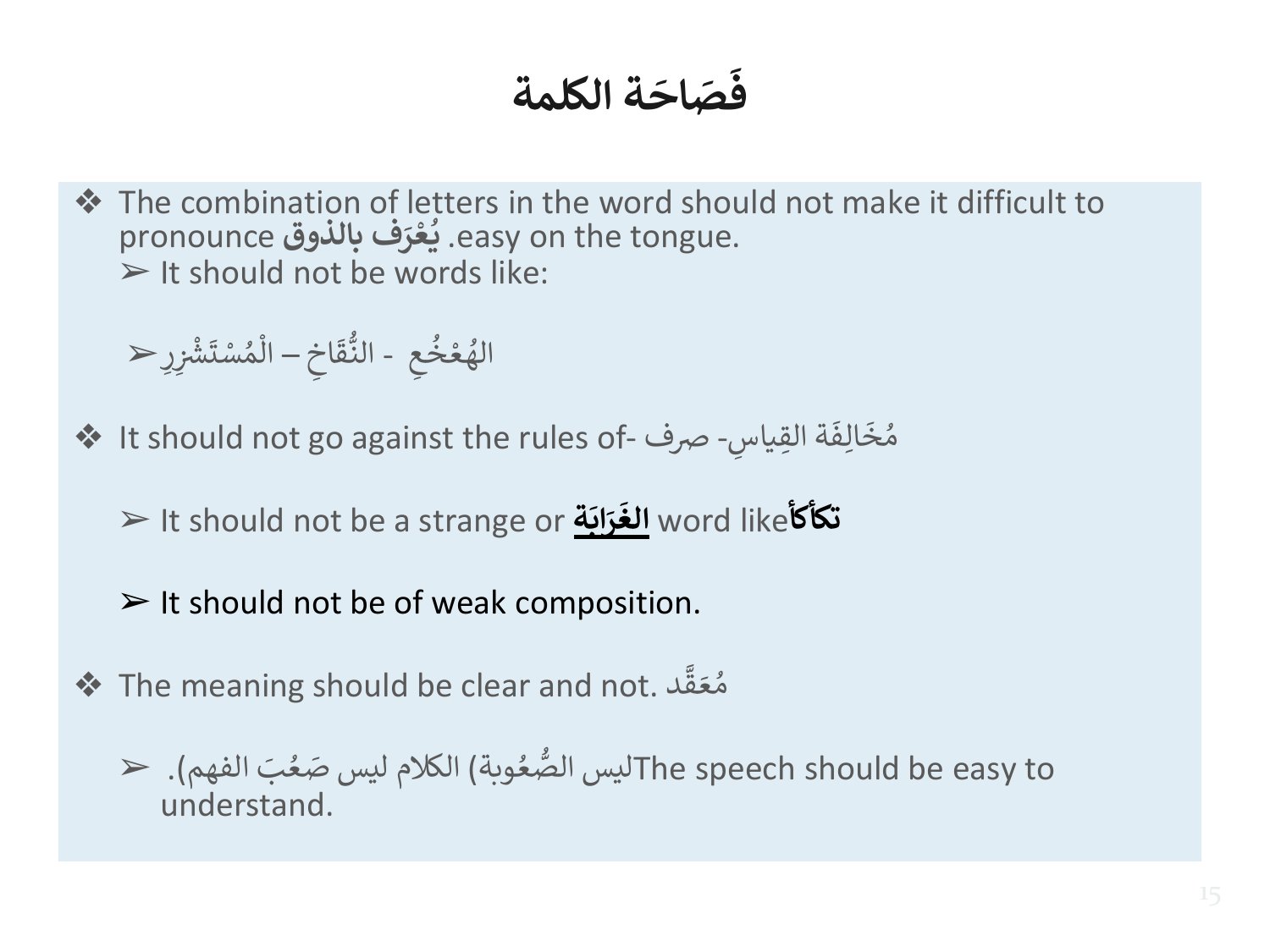#### **ة الكلمة َ اح صَ َ ف**

❖ The combination of letters in the word should not make it difficult to . **ف بالذوق** pronounce **َ ر ع ي** easy on the tongue. **ْ ل**<br>•  $\triangleright$  It should not be words like:

➢ ع ُ خ ْ ع ُ اله - اخ َ ق ُّ الن – ر ْ ش ْ َ ت س ْ ُ م ْ ال

- ❖ It should not go against the rules of س ِقيا ة ال  $\frac{1}{2}$ الِفَ  $\frac{1}{2}$ مُخَالِفَة القِياسِ- صرف -์<br>ถ
	- ➢ It should not be a strange or **ة َ اب َ ر َ تكأكأ**like word **الغ**
	- $\triangleright$  It should not be of weak composition.
- ◆ The meaning should be clear and not.  $\lambda$  $\frac{1}{2}$ ق  $\overline{\phantom{a}}$ مُعَقَّد . ์<br>ว
	- عُوبة) الكلام ليس صَعُبَ الفهم). ح ُ ليس الصُّعُوبة) الكلام ليس صَعُبَ الفهم ِ<br>م The speech should be easy toتليس الصَّعُوبة) الكلام ليس صَعُبَ الفهم). understand.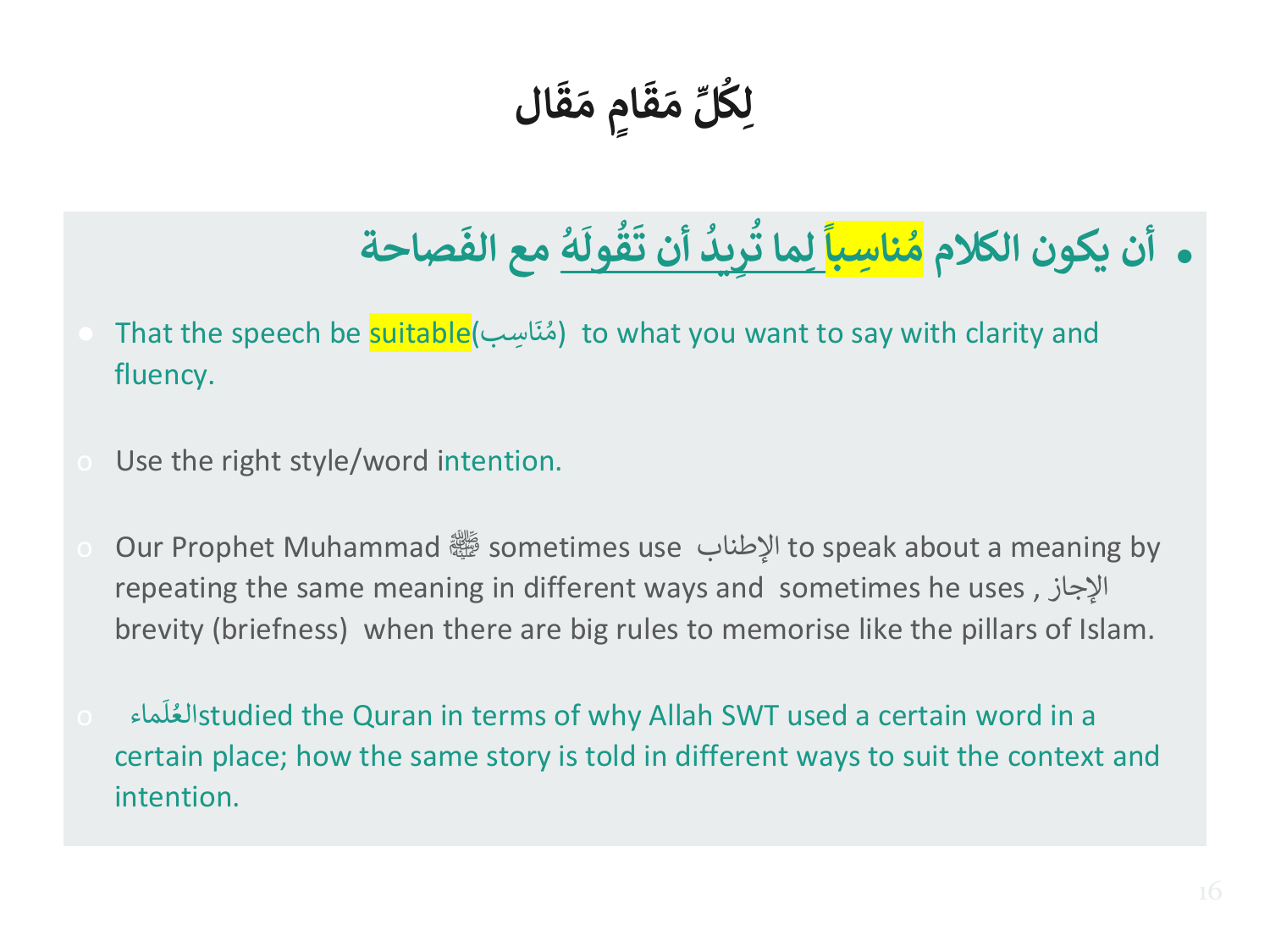**ال َ ق َ ٍم م ا َ ق َ م ِّ ل ِك ل ُ**

#### ● **أن يكون الكالم**  <mark>مُناسِباً لِما تَرِيدُ أَن تَقُولهُ</mark> ا البان الم **ُ َ ول ق ُ َ أن ت يد ِ ر ل مع ال صاحة ِ ما ت ُ ُ َ ف**

- امُنَاسِب) That the speech be <mark>suitable</mark> َ (مُنَاسِب) to what you want to say with clarity and ์<br>ก fluency.
- Use the right style/word intention.
- o Our Prophet Muhammad صلى الله عليه وسلم sometimes use اإلطناب to speak about a meaning by repeating the same meaning in different ways and sometimes he uses , اإلجاز brevity (briefness) when there are big rules to memorise like the pillars of Islam.
- ماء o ً<br>آ ل العstudied the Quran in terms of why Allah SWT used a certain word in a ُ certain place; how the same story is told in different ways to suit the context and intention.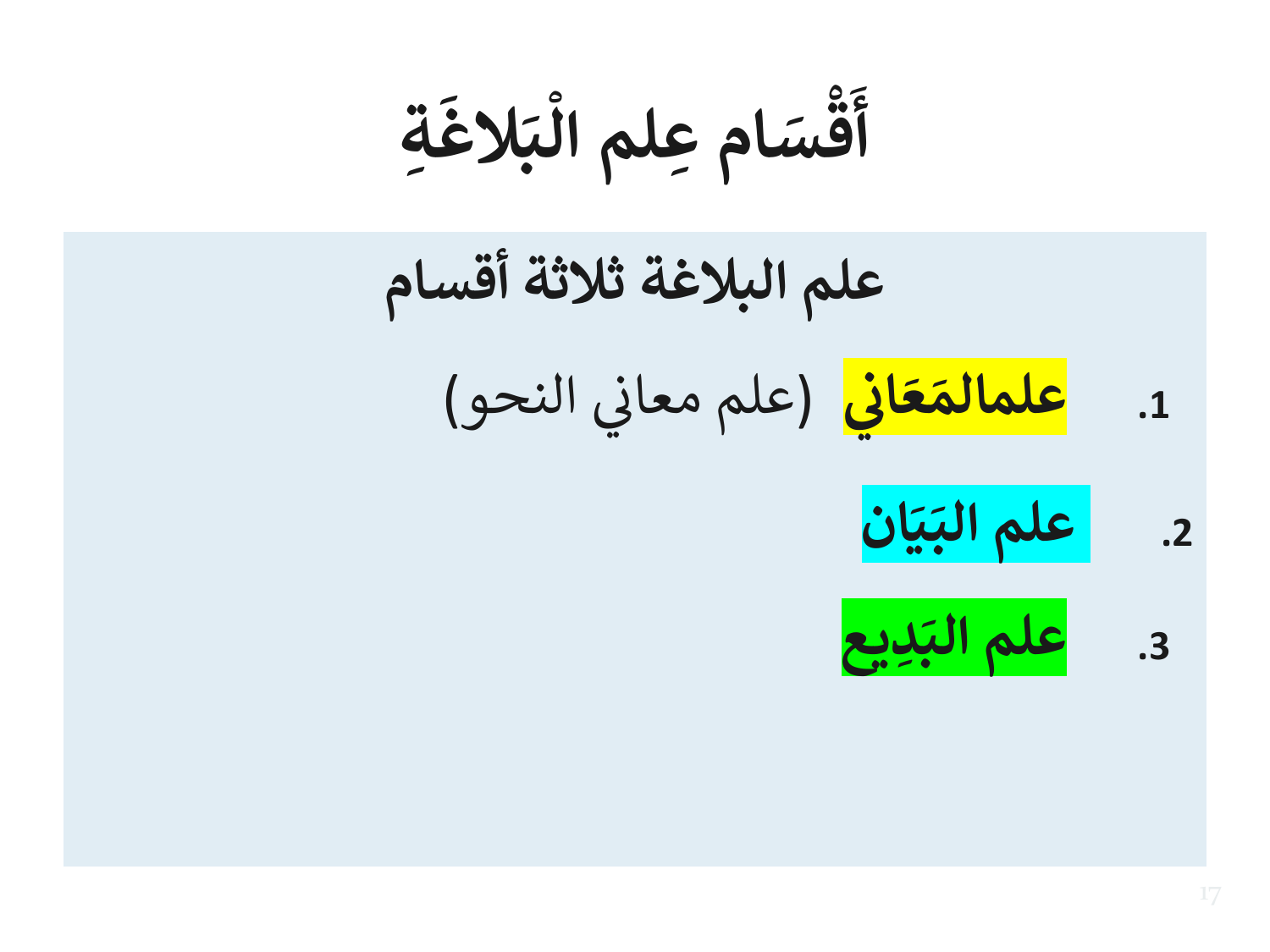**ة ِ َ الغ َ ب علم ال ام ِ ْ َ س ق ْ َ أ**

**علم البالغة ثالثة أقسام .1 ي ان َ ع َ** <mark>علمالمَعَاني</mark> (علم معاني النحو) ْ **.2 ان َ ي َ علم الب ِديع .3 َ علم الب**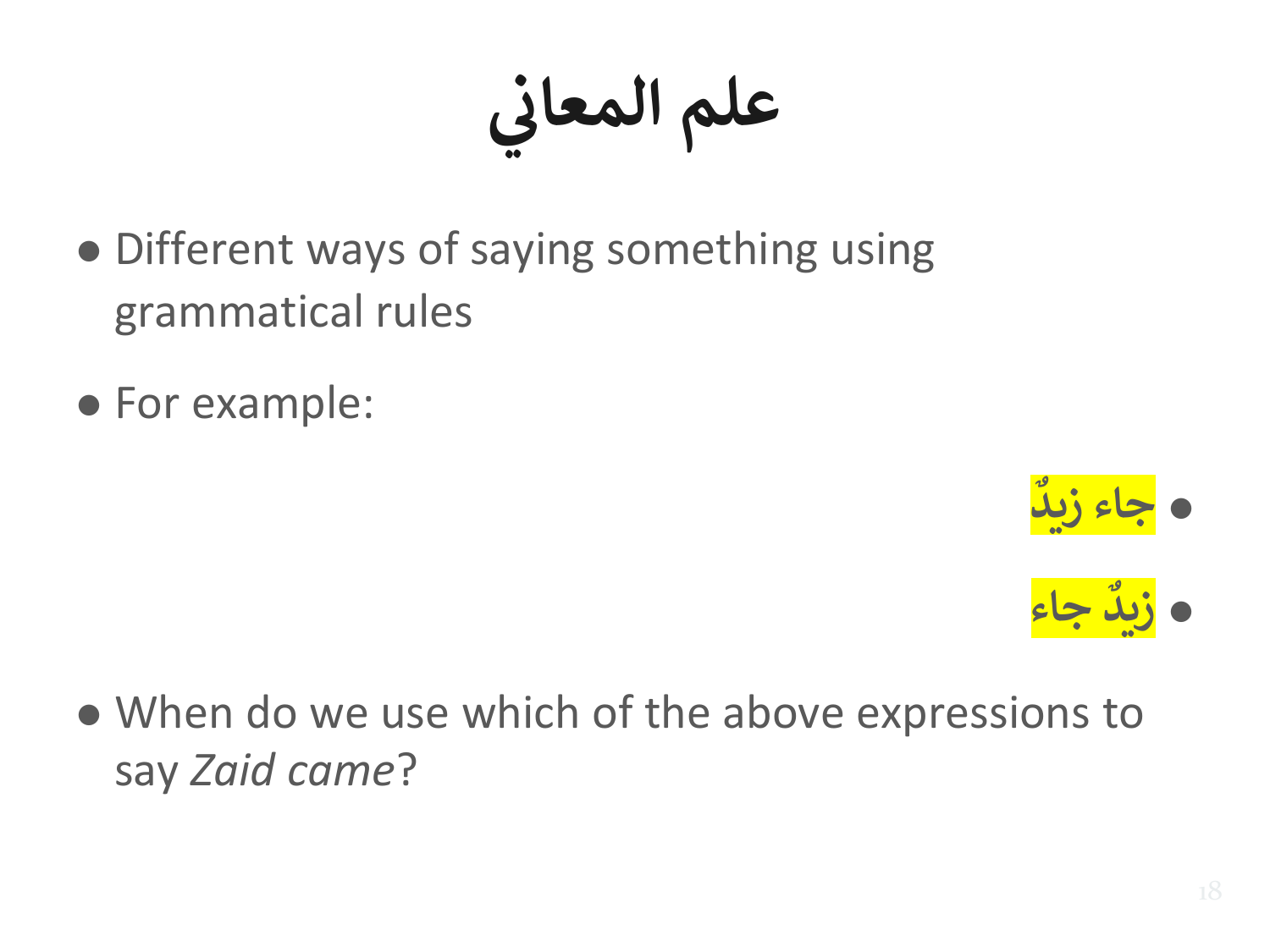**ي علم المعان**

- Different ways of saying something using grammatical rules
- For example:





● When do we use which of the above expressions to say *Zaid came*?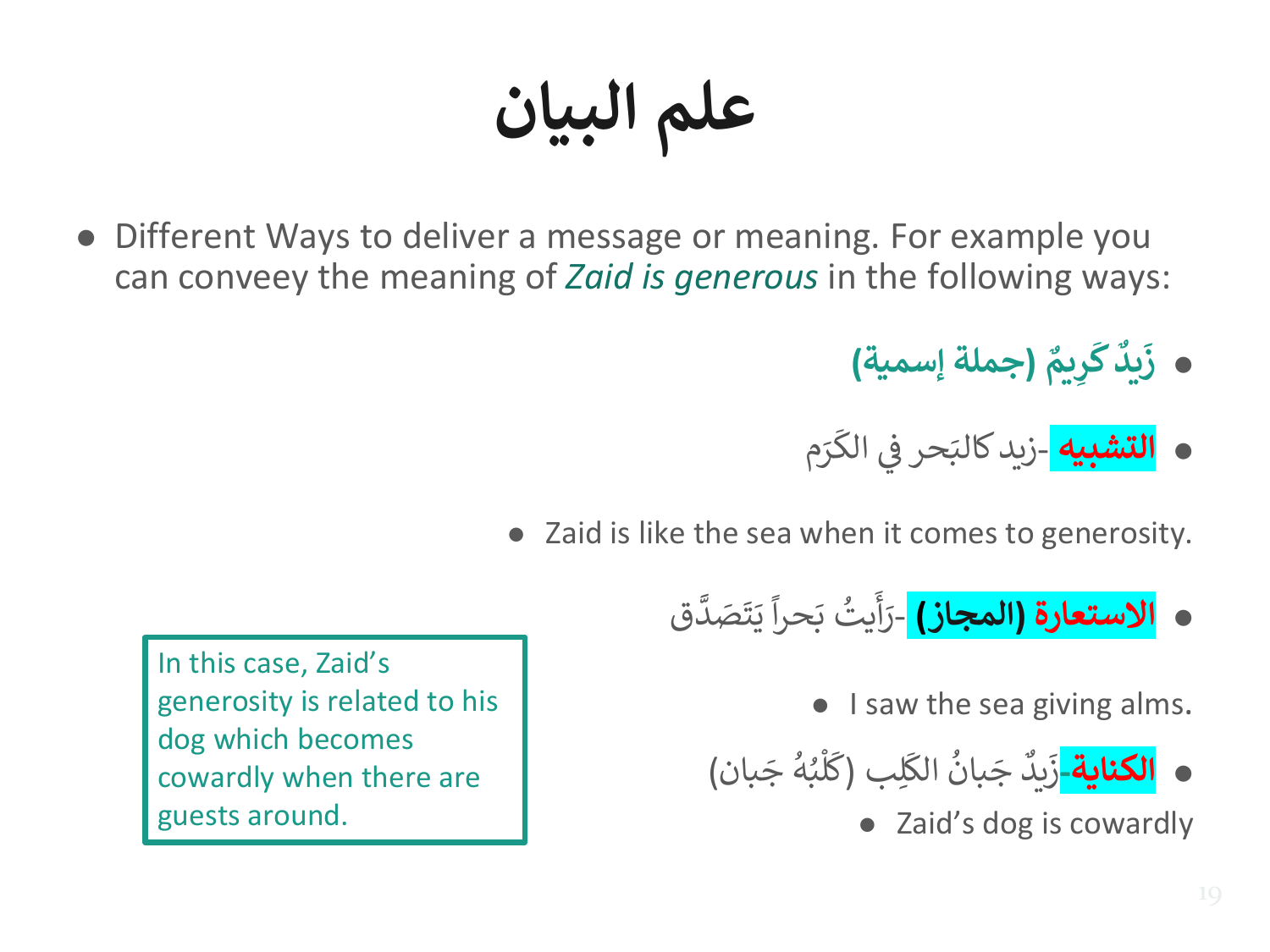**علم البيان**

- Different Ways to deliver a message or meaning. For example you can conveey the meaning of *Zaid is generous* in the following ways:
	- **يم ِ ر َ ك يد َ ز (جملة إسمية)**
	- **0 <mark>التشبيه</mark> -ز**يد كالبَحر في الكَرَم ا<br>سن حر في الكَ ي ّْ ز  $\frac{1}{2}$ زيد كالبَ
	- Zaid is like the sea when it comes to generosity.
		- **االستعارة (المجاز)**  ق ہ<br>ا ِ<br>تَصَدَّ ت  $\frac{1}{2}$ ي ً<br>آ حرا  $\frac{1}{2}$ ب يت ُ  $\frac{1}{2}$ أ  $\tilde{\cdot}$ رَاً

● I saw the sea giving alms.

● **الكناية-** ِلب َ الك ُ بان َ ج ٌ يد َ ز ( بان َ ج ُ ه ُ ب ْ ل َ ك )

● Zaid's dog is cowardly

In this case, Zaid's generosity is related to his dog which becomes cowardly when there are guests around.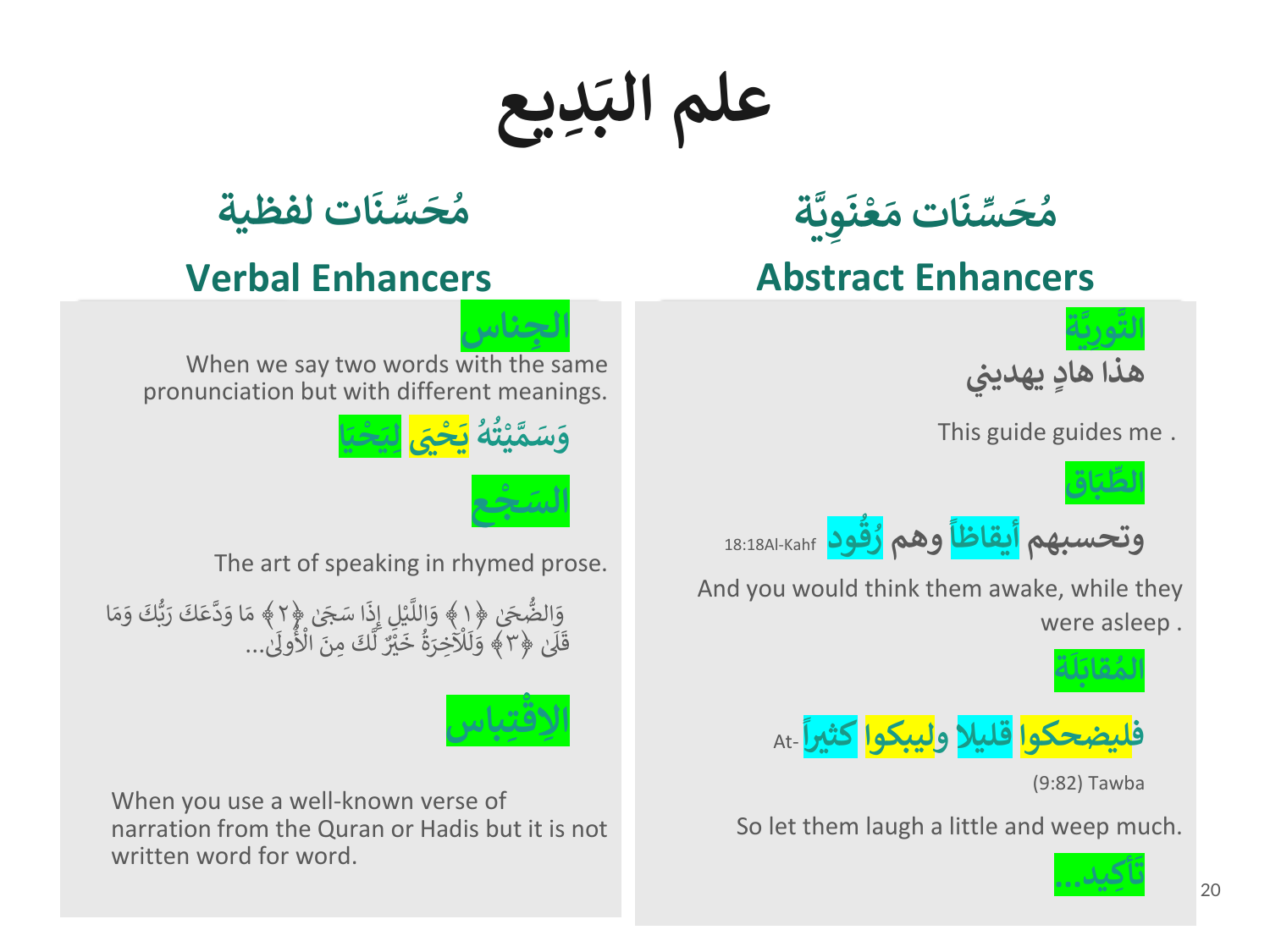**ديع ِ َ علم الب**



**ِتباس** <u>لاق</u> **ا**

When you use a well-known verse of narration from the Quran or Hadis but it is not written word for word.

(9:82) Tawba

**ة َّ ي ِ ور َّ الت**

**ُ**

**اق َ ب ِّ الط**

**ة َ ل َ قاب ُ الم**

**فليضحكوا قليال و ليبكوا كث**

So let them laugh a little and weep much.

 **ريا** -At